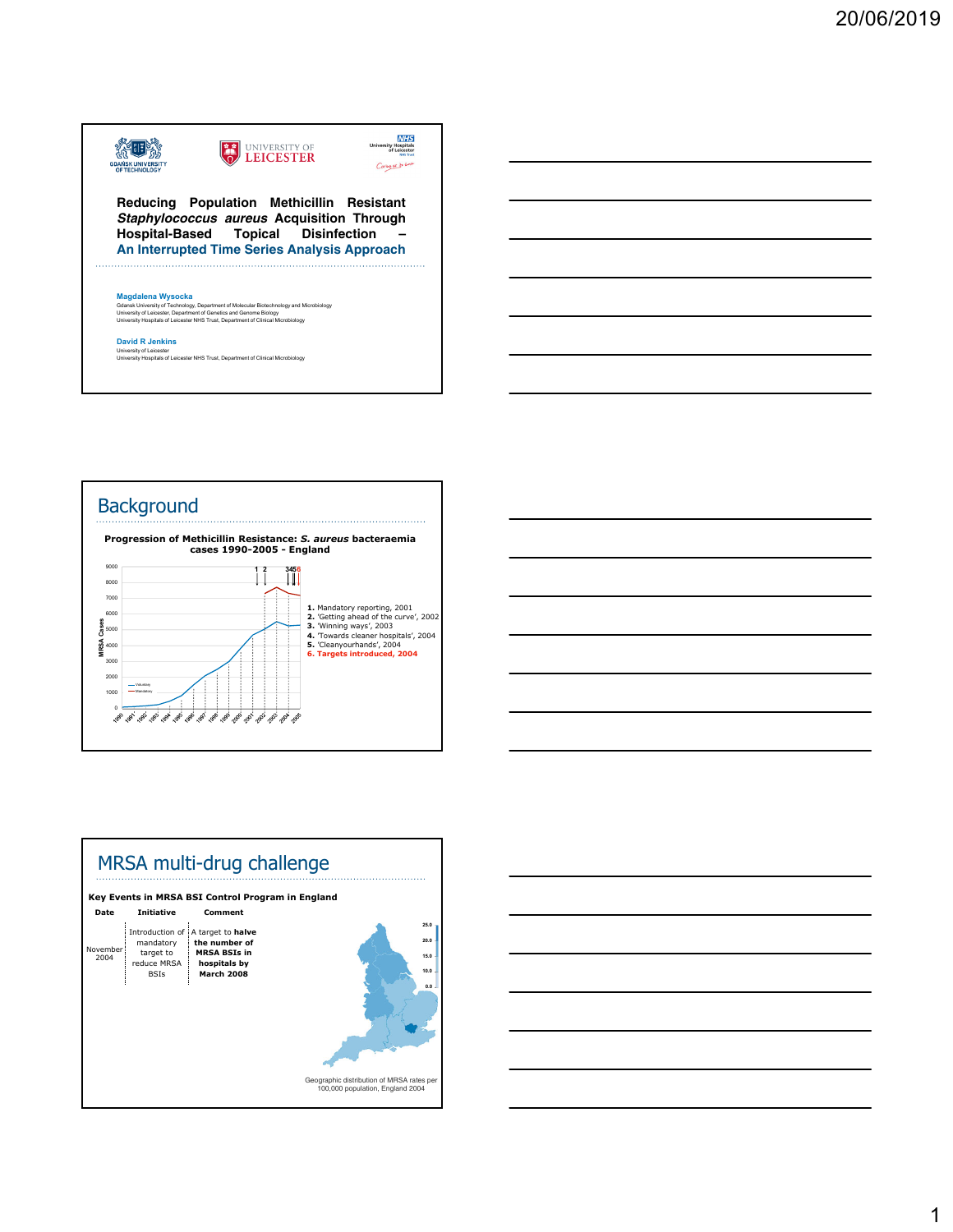







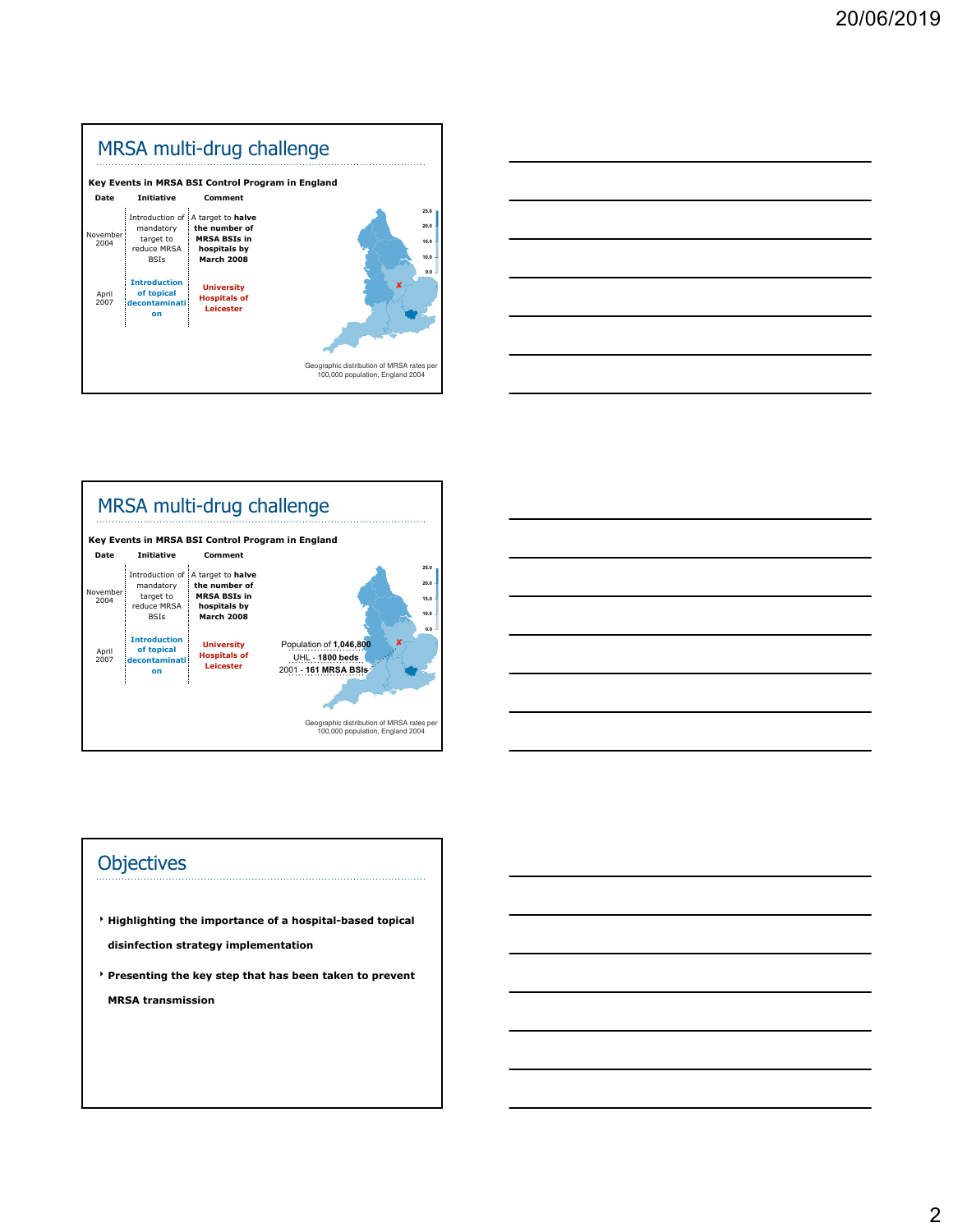





## **Objectives**

- ‣ **Highlighting the importance of a hospital-based topical disinfection strategy implementation**
- ‣ **Presenting the key step that has been taken to prevent MRSA transmission**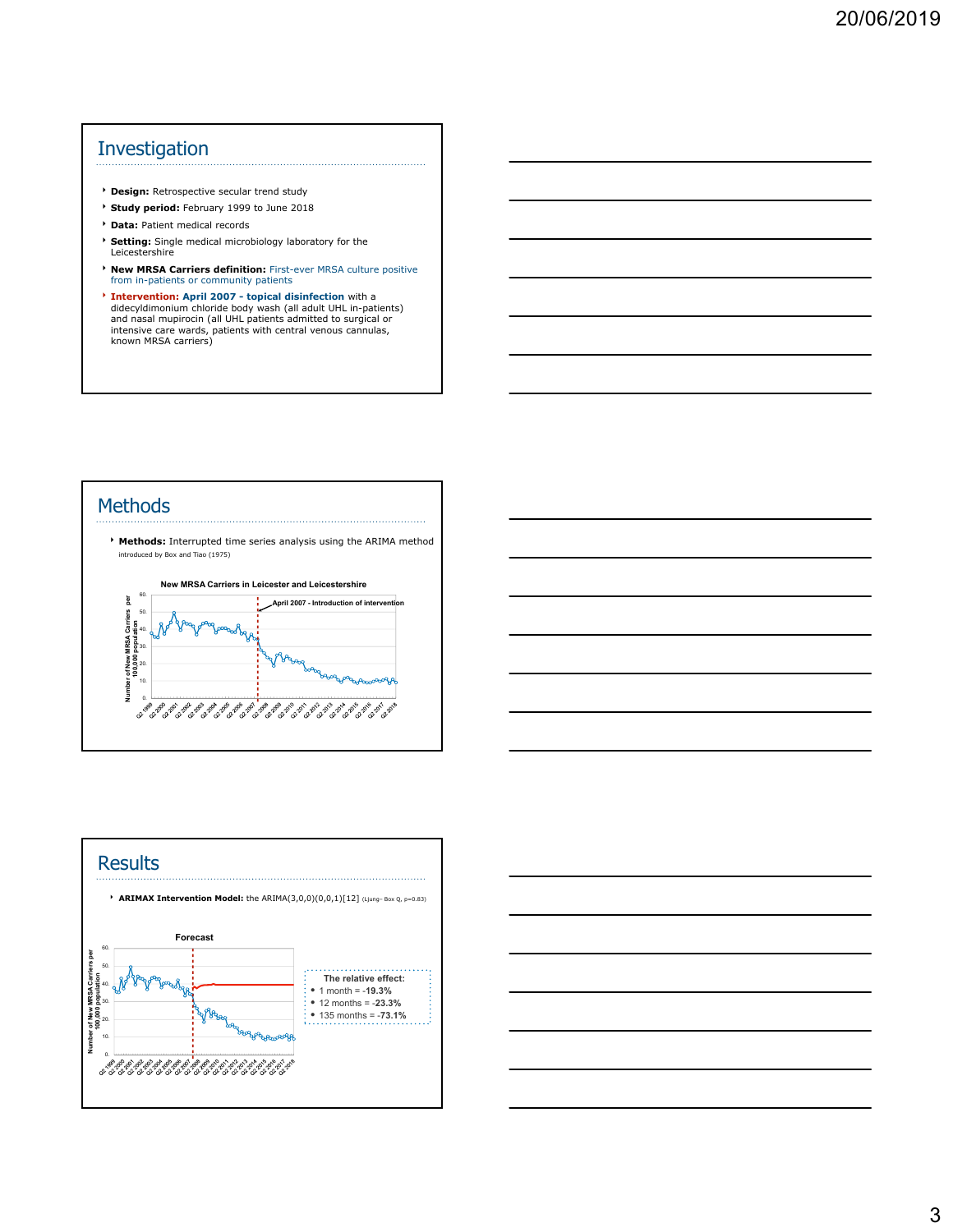## Investigation

- ‣ **Design:** Retrospective secular trend study
- ‣ **Study period:** February 1999 to June 2018
- ‣ **Data:** Patient medical records
- ‣ **Setting:** Single medical microbiology laboratory for the Leicestershire
- ‣ **New MRSA Carriers definition:** First-ever MRSA culture positive from in-patients or community patients
- **Intervention:** April 2007 topical disinfection with a didecyldimonium chloride body wash (all adult UHL in-patients) and nasal mupirocin (all UHL patients admitted to surgical or intensive care wards, patients with cent